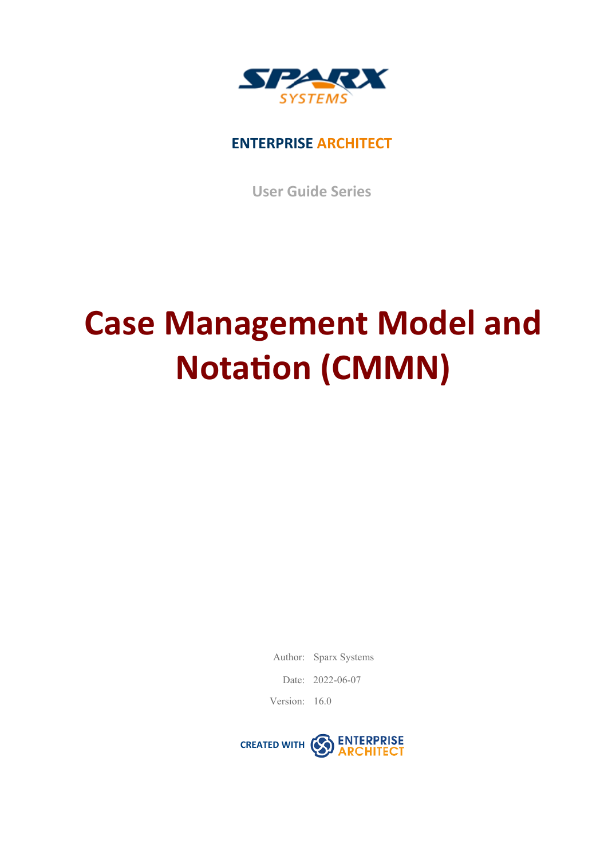

### **ENTERPRISE ARCHITECT**

**User Guide Series**

# **Case Management Model and Notation (CMMN)**

Author: Sparx Systems

Date: 2022-06-07

Version: 16.0

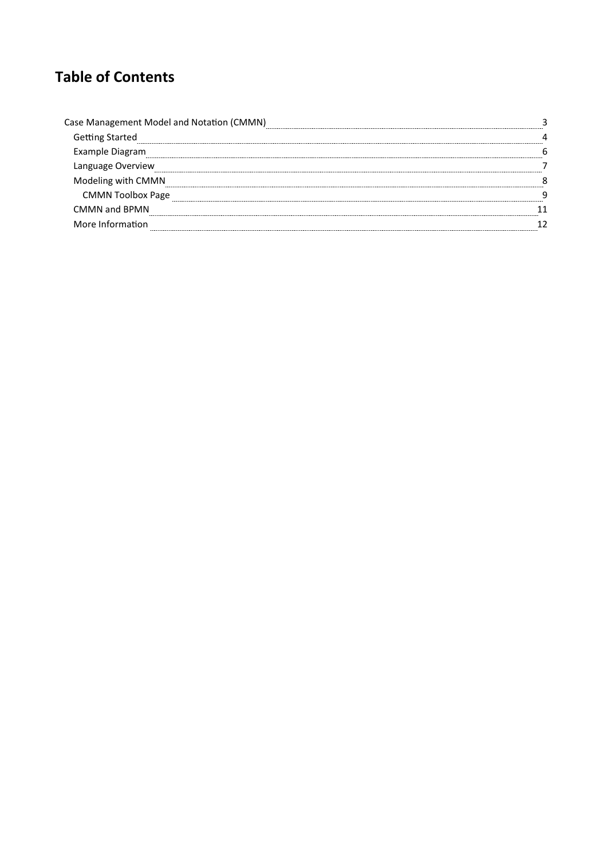## **Table of Contents**

| Case Management Model and Notation (CMMN) |  |
|-------------------------------------------|--|
| <b>Getting Started</b>                    |  |
| Example Diagram                           |  |
| Language Overview                         |  |
| Modeling with CMMN                        |  |
| <b>CMMN Toolbox Page</b>                  |  |
| CMMN and BPMN                             |  |
| More Information                          |  |
|                                           |  |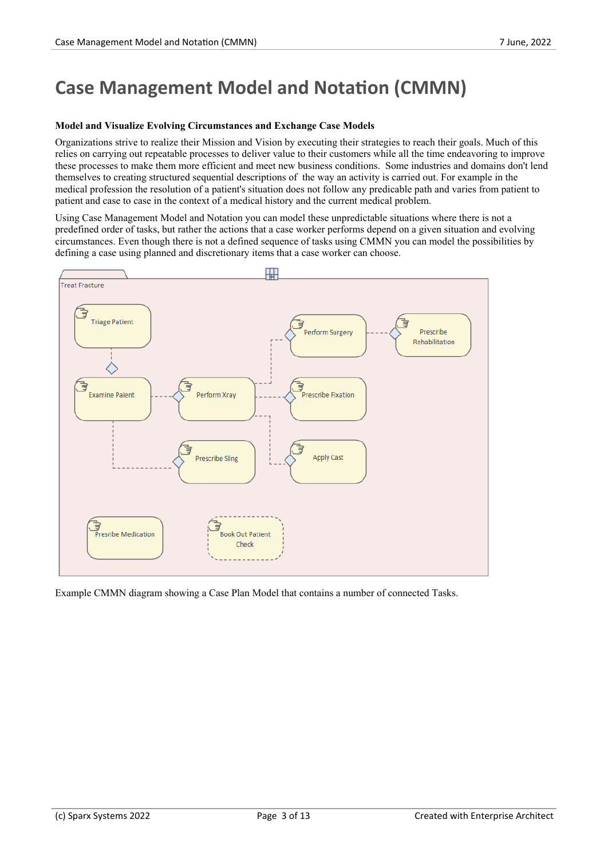# **Case Management Model and Notation (CMMN)**

#### **Model and Visualize Evolving Circumstances and Exchange Case Models**

Organizations strive to realize their Mission and Vision by executing their strategies to reach their goals. Much of this relies on carrying out repeatable processes to deliver value to their customers while all the time endeavoring to improve these processes to make them more efficient and meet new business conditions. Some industries and domains don't lend themselves to creating structured sequential descriptions of the way an activity is carried out. For example in the medical profession the resolution of a patient's situation doesnot follow any predicable path and varies from patient to patient and case to case in the context of a medical history and the current medical problem.

Using Case Management Model and Notation you can model these unpredictable situations where there is not a predefined order of tasks, but rather the actions that a case worker performs depend on a given situation and evolving circumstances. Even though there is not a defined sequence of tasks using CMMN you can model the possibilities by defining a case using planned and discretionary items that a case worker can choose.



Example CMMN diagram showing a Case Plan Model that contains a number of connected Tasks.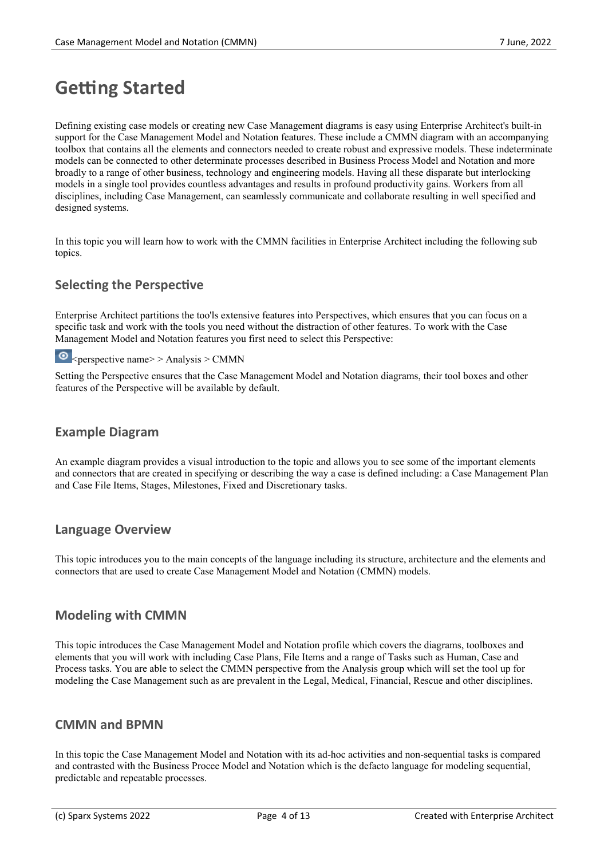## **Getting Started**

Defining existing case models or creating new Case Management diagrams is easy using Enterprise Architect's built-in support for the Case Management Model and Notation features. These include a CMMN diagram with an accompanying toolbox that contains all the elements and connectors needed to create robust and expressive models. These indeterminate models can be connected to other determinate processes described in Business Process Model and Notation and more broadly to a range of other business, technology and engineering models. Having all these disparate but interlocking models in a single tool provides countless advantages and results in profound productivity gains. Workers from all disciplines, including Case Management, can seamlessly communicate and collaborate resulting in well specified and designed systems.

In this topic you will learn how to work with the CMMN facilities in Enterprise Architect including the following sub topics.

#### **Selecting the Perspective**

Enterprise Architect partitions the too'ls extensive features into Perspectives, which ensures that you can focus on a specific task and work with the tools you need without the distraction of other features. To work with the Case Management Model and Notation features you first need to select this Perspective:

 $\bullet$  <perspective name> > Analysis > CMMN

Setting the Perspective ensures that the Case Management Model and Notation diagrams, their tool boxes and other features of the Perspective will be available by default.

#### **Example Diagram**

An example diagram provides a visual introduction to the topic and allows you to see some of the important elements and connectors that are created in specifying or describing the way a case is defined including: a Case Management Plan and Case File Items, Stages, Milestones, Fixed and Discretionary tasks.

#### **Language Overview**

This topic introduces you to the main concepts of the language including its structure, architecture and the elements and connectors that are used to create Case Management Model and Notation (CMMN) models.

#### **Modeling with CMMN**

This topic introduces the Case Management Model and Notation profile which covers the diagrams, toolboxes and elements that you will work with including Case Plans, File Items and a range of Tasks such as Human, Case and Process tasks. You are able to select the CMMN perspective from the Analysis group which will set the tool up for modeling the Case Management such as are prevalent in the Legal, Medical, Financial, Rescue and other disciplines.

#### **CMMN and BPMN**

In this topic the Case Management Model and Notation with its ad-hoc activities and non-sequential tasks is compared and contrasted with the Business Procee Model and Notation which is the defacto language for modeling sequential, predictable and repeatable processes.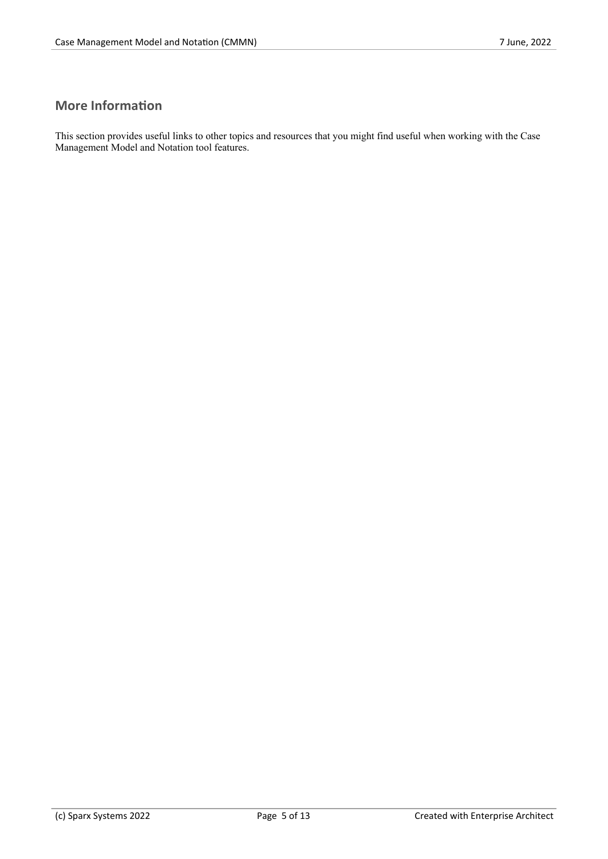#### **More Information**

This section provides useful links to other topics and resources that you might find useful when working with the Case Management Model and Notation tool features.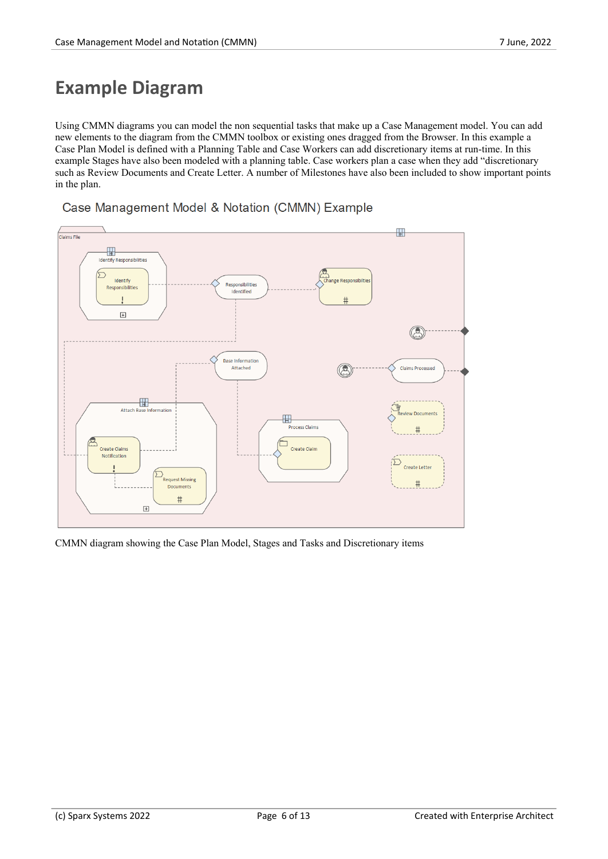## **Example Diagram**

Using CMMN diagrams you can model the non sequential tasks that make up a Case Management model. You can add new elements to the diagram from the CMMN toolbox or existing onesdragged from the Browser. In this example a Case Plan Model is defined with a Planning Table and Case Workers can add discretionary items at run-time. In this example Stages have also been modeled with a planning table. Case workers plan a case when they add "discretionary such as Review Documents and Create Letter. A number of Milestones have also been included to show important points in the plan.



Case Management Model & Notation (CMMN) Example

CMMN diagram showing the Case Plan Model, Stages and Tasks and Discretionary items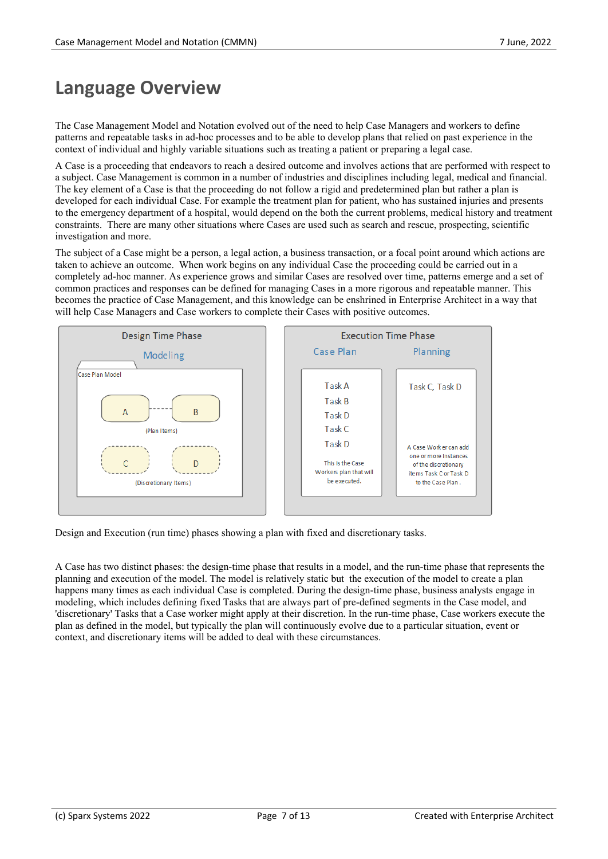## **Language Overview**

The Case Management Model and Notation evolved out of the need to help Case Managers and workers to define patterns and repeatable tasks in ad-hoc processes and to be able to develop plans that relied on past experience in the context of individual and highly variable situations such as treating a patient or preparing a legal case.

A Case is a proceeding that endeavors to reach a desired outcome and involves actions that are performed with respect to a subject. Case Management is common in a number of industries and disciplines including legal, medical and financial. The key element of a Case is that the proceeding do not follow a rigid and predetermined plan but rather a plan is developed for each individual Case. For example the treatment plan for patient, who has sustained injuries and presents to the emergency department of a hospital, would depend on the both the current problems, medical history and treatment constraints. There are many other situations where Cases are used such as search and rescue, prospecting, scientific investigation and more.

The subject of a Case might be a person, a legal action, a business transaction, or a focal point around which actions are taken to achieve an outcome. When work begins on any individual Case the proceeding could be carried out in a completely ad-hoc manner. As experience grows and similar Cases are resolved over time, patterns emerge and a set of common practices and responses can be defined for managing Cases in a more rigorous and repeatable manner. This becomes the practice of Case Management, and this knowledge can be enshrined in Enterprise Architect in a way that will help Case Managers and Case workers to complete their Cases with positive outcomes.



Design and Execution (run time) phases showing a plan with fixed and discretionary tasks.

A Case has two distinct phases: the design-time phase that results in a model, and the run-time phase that represents the planning and execution of the model. The model is relatively static but the execution of the model to create a plan happens many times as each individual Case is completed. During the design-time phase, business analysts engage in modeling, which includes defining fixed Tasks that are always part of pre-defined segments in the Case model, and 'discretionary' Tasks that a Case worker might apply at their discretion. In the run-time phase, Case workers execute the plan as defined in the model, but typically the plan will continuously evolve due to a particular situation, event or context, and discretionary items will be added to deal with these circumstances.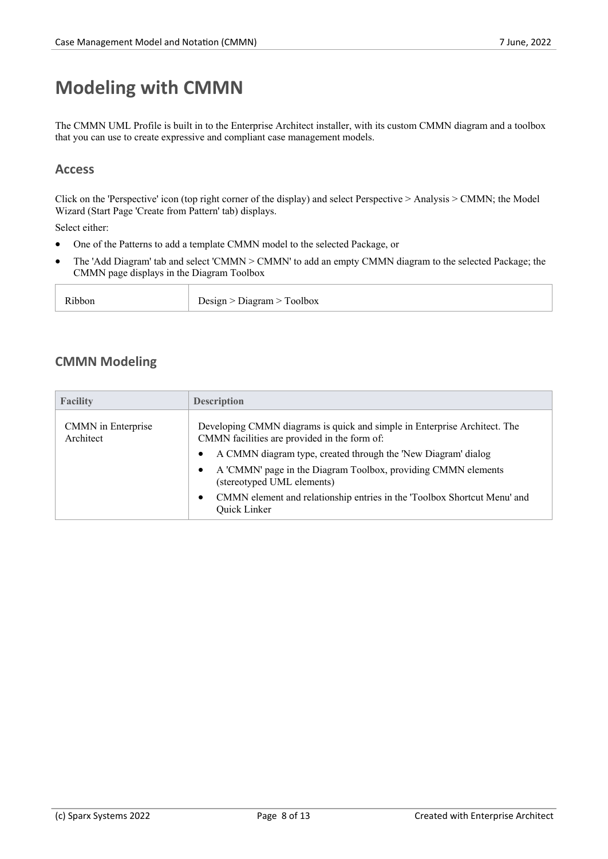## **Modeling with CMMN**

The CMMN UML Profile is built in to the Enterprise Architect installer, with its custom CMMN diagram and a toolbox that you can use to create expressive and compliant case management models.

#### **Access**

Click on the 'Perspective' icon (top right corner of the display) and select Perspective > Analysis > CMMN; the Model Wizard (Start Page 'Create from Pattern' tab) displays.

Select either:

- · One of the Patterns to add a template CMMN model to the selected Package, or
- The 'Add Diagram' tab and select 'CMMN > CMMN' to add an empty CMMN diagram to the selected Package; the CMMN page displays in the Diagram Toolbox

| Ribbon | Design > Diagram > Toolbox |
|--------|----------------------------|
|--------|----------------------------|

#### **CMMN Modeling**

| <b>Facility</b>                 | <b>Description</b>                                                                                                        |  |
|---------------------------------|---------------------------------------------------------------------------------------------------------------------------|--|
| CMMN in Enterprise<br>Architect | Developing CMMN diagrams is quick and simple in Enterprise Architect. The<br>CMMN facilities are provided in the form of: |  |
|                                 | A CMMN diagram type, created through the 'New Diagram' dialog                                                             |  |
|                                 | A 'CMMN' page in the Diagram Toolbox, providing CMMN elements<br>(stereotyped UML elements)                               |  |
|                                 | CMMN element and relationship entries in the 'Toolbox Shortcut Menu' and<br>٠<br>Quick Linker                             |  |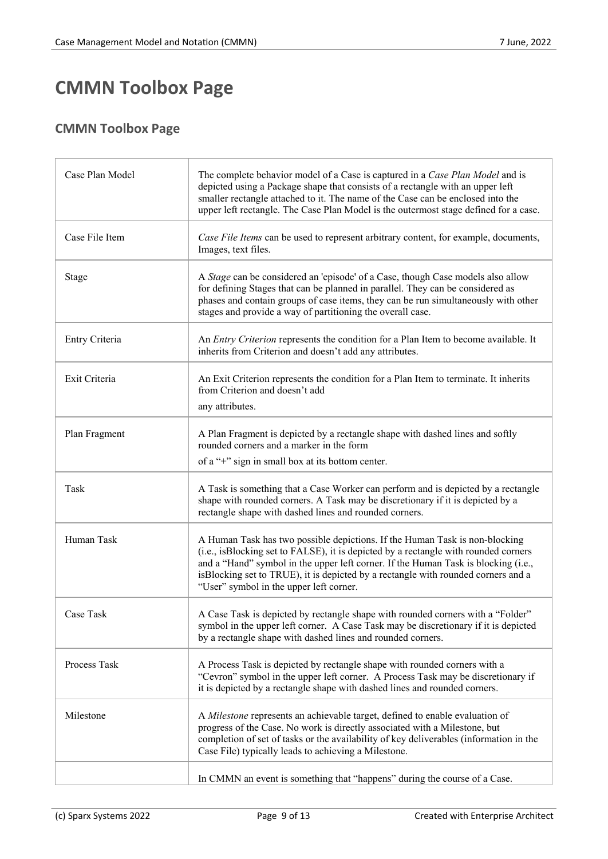# **CMMN Toolbox Page**

#### **CMMN Toolbox Page**

| Case Plan Model | The complete behavior model of a Case is captured in a Case Plan Model and is<br>depicted using a Package shape that consists of a rectangle with an upper left<br>smaller rectangle attached to it. The name of the Case can be enclosed into the<br>upper left rectangle. The Case Plan Model is the outermost stage defined for a case.                                                |
|-----------------|-------------------------------------------------------------------------------------------------------------------------------------------------------------------------------------------------------------------------------------------------------------------------------------------------------------------------------------------------------------------------------------------|
| Case File Item  | Case File Items can be used to represent arbitrary content, for example, documents,<br>Images, text files.                                                                                                                                                                                                                                                                                |
| Stage           | A Stage can be considered an 'episode' of a Case, though Case models also allow<br>for defining Stages that can be planned in parallel. They can be considered as<br>phases and contain groups of case items, they can be run simultaneously with other<br>stages and provide a way of partitioning the overall case.                                                                     |
| Entry Criteria  | An <i>Entry Criterion</i> represents the condition for a Plan Item to become available. It<br>inherits from Criterion and doesn't add any attributes.                                                                                                                                                                                                                                     |
| Exit Criteria   | An Exit Criterion represents the condition for a Plan Item to terminate. It inherits<br>from Criterion and doesn't add<br>any attributes.                                                                                                                                                                                                                                                 |
| Plan Fragment   | A Plan Fragment is depicted by a rectangle shape with dashed lines and softly<br>rounded corners and a marker in the form<br>of a "+" sign in small box at its bottom center.                                                                                                                                                                                                             |
| Task            | A Task is something that a Case Worker can perform and is depicted by a rectangle<br>shape with rounded corners. A Task may be discretionary if it is depicted by a<br>rectangle shape with dashed lines and rounded corners.                                                                                                                                                             |
| Human Task      | A Human Task has two possible depictions. If the Human Task is non-blocking<br>(i.e., isBlocking set to FALSE), it is depicted by a rectangle with rounded corners<br>and a "Hand" symbol in the upper left corner. If the Human Task is blocking (i.e.,<br>is Blocking set to TRUE), it is depicted by a rectangle with rounded corners and a<br>"User" symbol in the upper left corner. |
| Case Task       | A Case Task is depicted by rectangle shape with rounded corners with a "Folder"<br>symbol in the upper left corner. A Case Task may be discretionary if it is depicted<br>by a rectangle shape with dashed lines and rounded corners.                                                                                                                                                     |
| Process Task    | A Process Task is depicted by rectangle shape with rounded corners with a<br>"Cevron" symbol in the upper left corner. A Process Task may be discretionary if<br>it is depicted by a rectangle shape with dashed lines and rounded corners.                                                                                                                                               |
| Milestone       | A Milestone represents an achievable target, defined to enable evaluation of<br>progress of the Case. No work is directly associated with a Milestone, but<br>completion of set of tasks or the availability of key deliverables (information in the<br>Case File) typically leads to achieving a Milestone.                                                                              |
|                 | In CMMN an event is something that "happens" during the course of a Case.                                                                                                                                                                                                                                                                                                                 |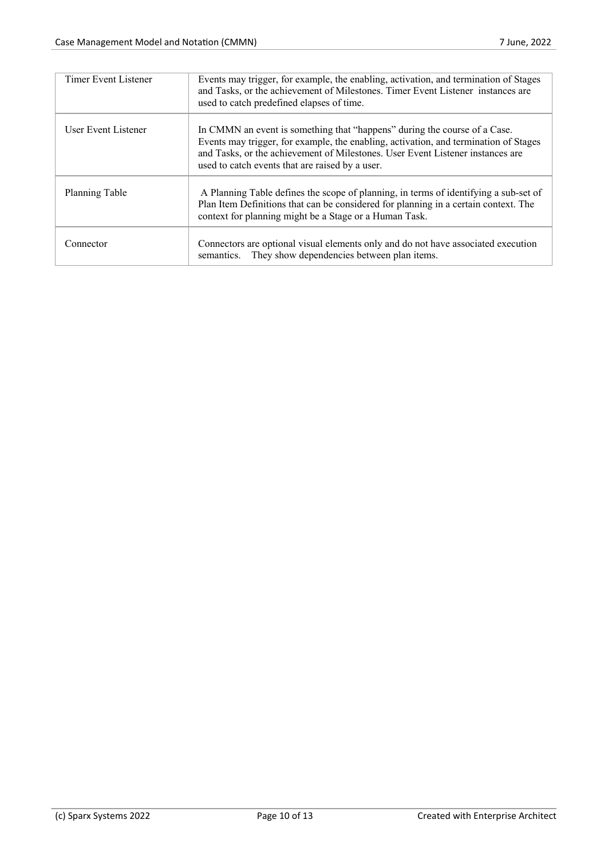| Timer Event Listener  | Events may trigger, for example, the enabling, activation, and termination of Stages<br>and Tasks, or the achievement of Milestones. Timer Event Listener instances are<br>used to catch predefined elapses of time.                                                                                   |
|-----------------------|--------------------------------------------------------------------------------------------------------------------------------------------------------------------------------------------------------------------------------------------------------------------------------------------------------|
| User Event Listener   | In CMMN an event is something that "happens" during the course of a Case.<br>Events may trigger, for example, the enabling, activation, and termination of Stages<br>and Tasks, or the achievement of Milestones. User Event Listener instances are<br>used to catch events that are raised by a user. |
| <b>Planning Table</b> | A Planning Table defines the scope of planning, in terms of identifying a sub-set of<br>Plan Item Definitions that can be considered for planning in a certain context. The<br>context for planning might be a Stage or a Human Task.                                                                  |
| Connector             | Connectors are optional visual elements only and do not have associated execution<br>semantics. They show dependencies between plan items.                                                                                                                                                             |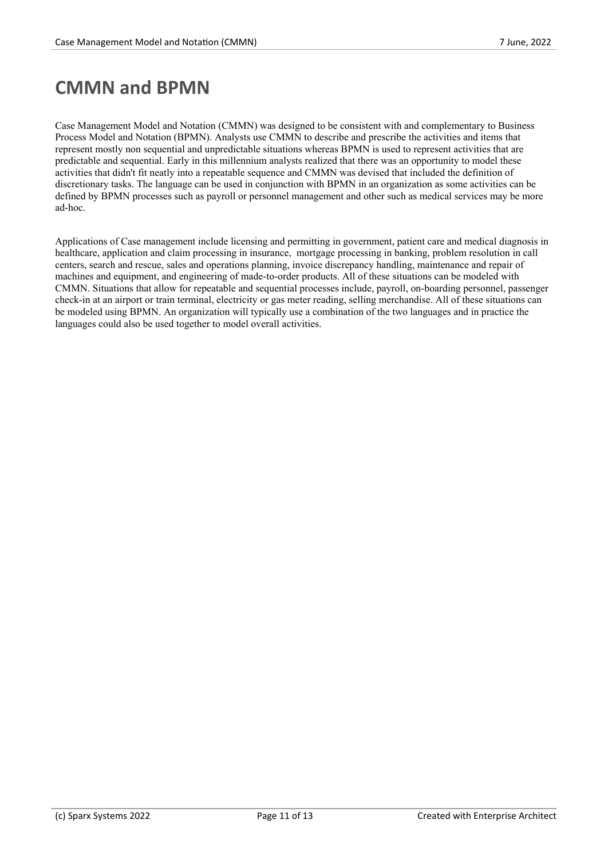## **CMMN and BPMN**

Case Management Model and Notation (CMMN) was designed to be consistent with and complementary to Business Process Model and Notation (BPMN). Analysts use CMMN to describe and prescribe the activities and items that represent mostly non sequential and unpredictable situations whereas BPMN is used to represent activities that are predictable and sequential. Early in this millennium analysts realized that there was an opportunity to model these activities that didn't fit neatly into a repeatable sequence and CMMN was devised that included the definition of discretionary tasks. The language can be used in conjunction with BPMN in an organization as some activities can be defined by BPMN processes such as payroll or personnel management and other such as medical services may be more ad-hoc.

Applications ofCase management include licensing and permitting in government, patient care and medical diagnosis in healthcare, application and claim processing in insurance, mortgage processing in banking, problem resolution in call centers, search and rescue, sales and operations planning, invoice discrepancy handling, maintenance and repair of machines and equipment, and engineering of made-to-order products. All of these situations can be modeled with CMMN. Situations that allow for repeatable and sequential processes include, payroll, on-boarding personnel, passenger check-in at an airport or train terminal, electricity or gas meter reading, selling merchandise. All of these situations can be modeled using BPMN. An organization will typically use a combination of the two languages and in practice the languages could also be used together to model overall activities.